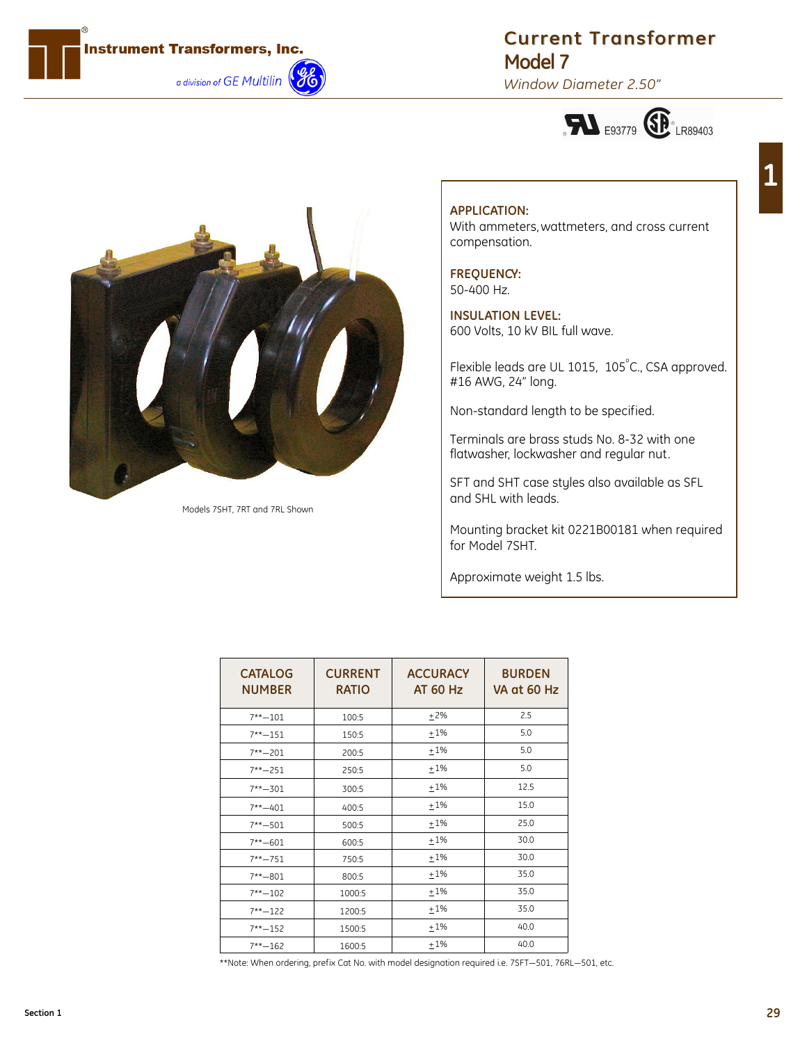

## **Current Transformer Model 7**

*Window Diameter 2.50"*





Models 7SHT, 7RT and 7RL Shown

## **APPLICATION:** With ammeters, wattmeters, and cross current compensation.

## **FREQUENCY:** 50-400 Hz.

**INSULATION LEVEL:** 600 Volts, 10 kV BIL full wave.

Flexible leads are UL 1015, 105°C., CSA approved. #16 AWG, 24" long.

Non-standard length to be specified.

Terminals are brass studs No. 8-32 with one flatwasher, lockwasher and regular nut.

SFT and SHT case styles also available as SFL and SHL with leads.

Mounting bracket kit 0221B00181 when required for Model 7SHT.

Approximate weight 1.5 lbs.

| <b>CATALOG</b><br><b>NUMBER</b> | <b>CURRENT</b><br><b>RATIO</b> | <b>ACCURACY</b><br><b>AT 60 Hz</b> | <b>BURDEN</b><br>VA at 60 Hz |
|---------------------------------|--------------------------------|------------------------------------|------------------------------|
| $7** - 101$                     | 100:5                          | ±2%                                | 2.5                          |
| $7***-151$                      | 150:5                          | ±1%                                | 5.0                          |
| $7** - 201$                     | 200:5                          | $+1\%$                             | 5.0                          |
| $7***-251$                      | 250:5                          | $+1\%$                             | 5.0                          |
| $7** - 301$                     | 300:5                          | ±1%                                | 12.5                         |
| $7***-401$                      | 400:5                          | ±1%                                | 15.0                         |
| $7** - 501$                     | 500:5                          | ±1%                                | 25.0                         |
| $7** - 601$                     | 600:5                          | ±1%                                | 30.0                         |
| $7** - 751$                     | 750:5                          | ±1%                                | 30.0                         |
| $7** - 801$                     | 800:5                          | ±1%                                | 35.0                         |
| $7** - 102$                     | 1000:5                         | ±1%                                | 35.0                         |
| $7***-122$                      | 1200:5                         | ±1%                                | 35.0                         |
| $7***-152$                      | 1500:5                         | ±1%                                | 40.0                         |
| $7***-162$                      | 1600:5                         | $+1%$                              | 40.0                         |

\*\*Note: When ordering, prefix Cat No. with model designation required i.e. 7SFT—501, 76RL—501, etc.